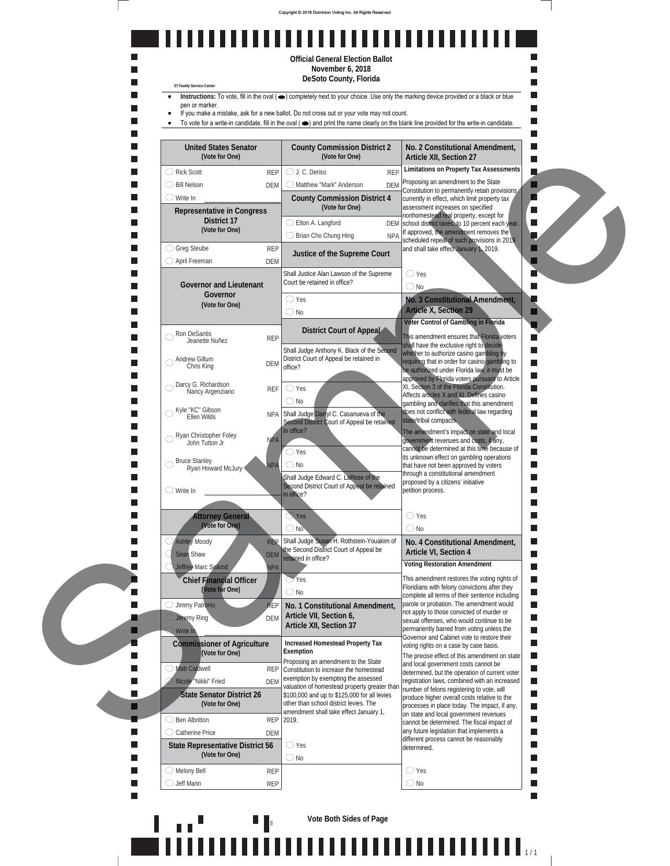



**Vote Both Sides of Page**

. . . . . . . . .

ğ

1 | | | | | | <sub>| 1/1</sub>